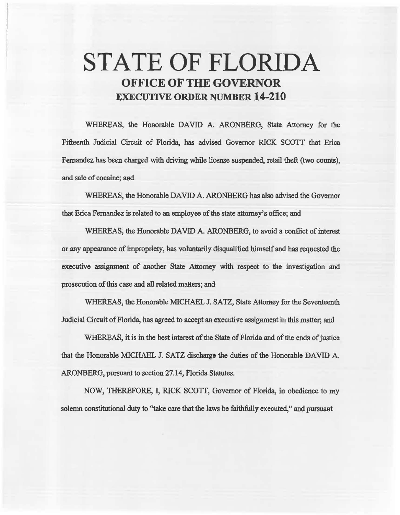# **STATE OF FLORIDA OFFICE OF THE GOVERNOR EXECUTIVE ORDER NUMBER 14·210**

WHEREAS, the Honorable DAVID A. ARONBERG, State Attorney for the Fifteenth Judicial Circuit of Florida, has advised Governor RICK SCOTT that Erica Fernandez has been charged with driving while license suspended, retail theft (two counts), and sale of cocaine; and

WHEREAS, the Honorable DAVID A. ARONBERG has also advised the Governor that Erica Fernandez is related to an employee of the state attorney's office; and

WHEREAS, the Honorable DAVID A. ARONBERG, to avoid a conflict of interest or any appearance of impropriety, has voluntarily disqualified himself and has requested the executive assignment of another State Attorney with respect to the investigation and prosecution of this case and all related matters; and

WHEREAS, the Honorable MICHAEL J. SATZ, State Attorney for the Seventeenth Judicial Circuit of Florida, has agreed to accept an executive assignment in this matter; and

WHEREAS, it is in the best interest of the State of Florida and of the ends of justice that the Honorable MICHAEL J. SATZ discharge the duties of the Honorable DAVID A. ARONBERG, pursuant to section 27.14, Florida Statutes.

NOW, THEREFORE, I, RICK SCOTI, Govemor of Florida, in. obedience to my solemn constitutional duty to "take care that the laws be faithfully executed," and pursuant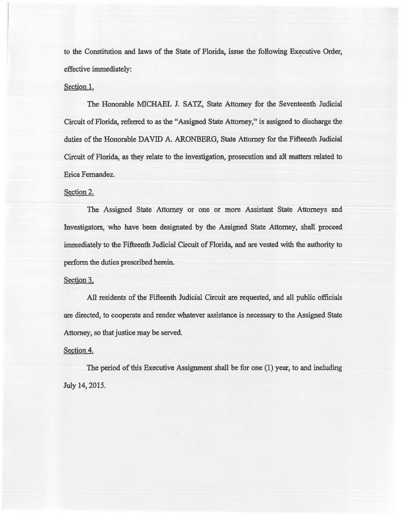to the Constitution and laws of the State of Florida, issue the following Executive Order, effective immediately:

## Section 1.

The Honorable MICHAEL J. SATZ, State Attorney for the Seventeenth Judicial Circuit of Florida, referred to as the "Assigned State Attorney," is assigned to discharge the duties of the Honorable DAVID A. ARONBERG, State Attorney for the Fifteenth Judicial Circuit of Florida, as they relate to the investigation, prosecution and all matters related to Erica Fernandez.

### Section 2.

The Assigned State Attorney or one or more Assistant State Attorneys and Investigators, who have been designated by the Assigned State Attorney, shall proceed immediately to the Fifteenth Judicial Circuit of Florida, and are vested with the authority to perform the duties prescribed herein.

#### Section 3.

All residents of the Fifteenth Judicial Circuit are requested, and all public officials are directed, to cooperate and render whatever assistance is necessary to the Assigned State Attorney, so that justice may be served.

#### Section 4.

The period of this Executive Assignment shall be for one (1) year, to and including July 14, 2015.